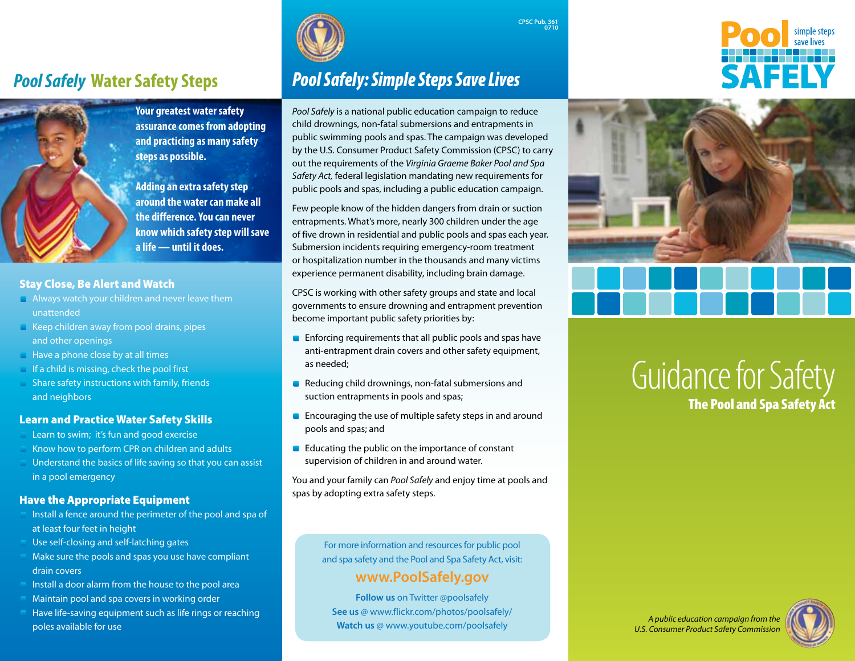# *Pool Safely* **Water Safety Steps**



**Your greatest water safety assurance comes from adopting and practicing as many safety steps as possible.** 

**Adding an extra safety step around the water can make all the difference. You can never know which safety step will save a life — until it does.**

### Stay Close, Be Alert and Watch

- **Always watch your children and never leave them** unattended
- $\blacksquare$  Keep children away from pool drains, pipes and other openings
- **Have a phone close by at all times**
- If a child is missing, check the pool first
- Share safety instructions with family, friends and neighbors

#### Learn and Practice Water Safety Skills

- Learn to swim; it's fun and good exercise
- Know how to perform CPR on children and adults
- Understand the basics of life saving so that you can assist in a pool emergency

### Have the Appropriate Equipment

- Install a fence around the perimeter of the pool and spa of at least four feet in height
- Use self-closing and self-latching gates
- Make sure the pools and spas you use have compliant drain covers
- Install a door alarm from the house to the pool area
- Maintain pool and spa covers in working order
- Have life-saving equipment such as life rings or reaching poles available for use *A public education campaign from the*  **Watch us** @ www.youtube.com/poolsafely



# *Pool Safely: Simple Steps Save Lives*

*Pool Safely* is a national public education campaign to reduce child drownings, non-fatal submersions and entrapments in public swimming pools and spas. The campaign was developed by the U.S. Consumer Product Safety Commission (CPSC) to carry out the requirements of the *Virginia Graeme Baker Pool and Spa Safety Act,* federal legislation mandating new requirements for public pools and spas, including a public education campaign.

**CPSC Pub. 361 <sup>0710</sup>**

Few people know of the hidden dangers from drain or suction entrapments. What's more, nearly 300 children under the age of five drown in residential and public pools and spas each year. Submersion incidents requiring emergency-room treatment or hospitalization number in the thousands and many victims experience permanent disability, including brain damage.

CPSC is working with other safety groups and state and local governments to ensure drowning and entrapment prevention become important public safety priorities by:

- **Enforcing requirements that all public pools and spas have** anti-entrapment drain covers and other safety equipment, as needed;
- Reducing child drownings, non-fatal submersions and suction entrapments in pools and spas;
- **Encouraging the use of multiple safety steps in and around** pools and spas; and
- **Educating the public on the importance of constant** supervision of children in and around water.

You and your family can *Pool Safely* and enjoy time at pools and spas by adopting extra safety steps.

> For more information and resources for public pool and spa safety and the Pool and Spa Safety Act, visit:

### **www.PoolSafely.gov**

**Follow us** on Twitter @poolsafely **See us** @ www.flickr.com/photos/poolsafely/





# The Pool and Spa Safety Act Guidance for Safety